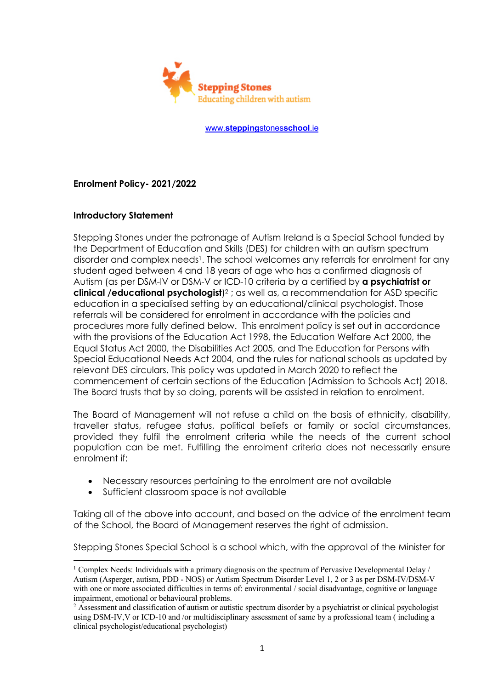

www.**stepping**stones**school**.ie

**Enrolment Policy- 2021/2022**

## **Introductory Statement**

Stepping Stones under the patronage of Autism Ireland is a Special School funded by the Department of Education and Skills (DES) for children with an autism spectrum disorder and complex needs<sup>1</sup>. The school welcomes any referrals for enrolment for any student aged between 4 and 18 years of age who has a confirmed diagnosis of Autism (as per DSM-IV or DSM-V or ICD-10 criteria by a certified by **a psychiatrist or clinical /educational psychologist**)2 ; as well as, a recommendation for ASD specific education in a specialised setting by an educational/clinical psychologist. Those referrals will be considered for enrolment in accordance with the policies and procedures more fully defined below. This enrolment policy is set out in accordance with the provisions of the Education Act 1998, the Education Welfare Act 2000, the Equal Status Act 2000, the Disabilities Act 2005, and The Education for Persons with Special Educational Needs Act 2004, and the rules for national schools as updated by relevant DES circulars. This policy was updated in March 2020 to reflect the commencement of certain sections of the Education (Admission to Schools Act) 2018. The Board trusts that by so doing, parents will be assisted in relation to enrolment.

The Board of Management will not refuse a child on the basis of ethnicity, disability, traveller status, refugee status, political beliefs or family or social circumstances, provided they fulfil the enrolment criteria while the needs of the current school population can be met. Fulfilling the enrolment criteria does not necessarily ensure enrolment if:

- Necessary resources pertaining to the enrolment are not available
- Sufficient classroom space is not available

Taking all of the above into account, and based on the advice of the enrolment team of the School, the Board of Management reserves the right of admission.

Stepping Stones Special School is a school which, with the approval of the Minister for

<sup>&</sup>lt;sup>1</sup> Complex Needs: Individuals with a primary diagnosis on the spectrum of Pervasive Developmental Delay  $/$ Autism (Asperger, autism, PDD - NOS) or Autism Spectrum Disorder Level 1, 2 or 3 as per DSM-IV/DSM-V with one or more associated difficulties in terms of: environmental / social disadvantage, cognitive or language impairment, emotional or behavioural problems.

<sup>&</sup>lt;sup>2</sup> Assessment and classification of autism or autistic spectrum disorder by a psychiatrist or clinical psychologist using DSM-IV,V or ICD-10 and /or multidisciplinary assessment of same by a professional team ( including a clinical psychologist/educational psychologist)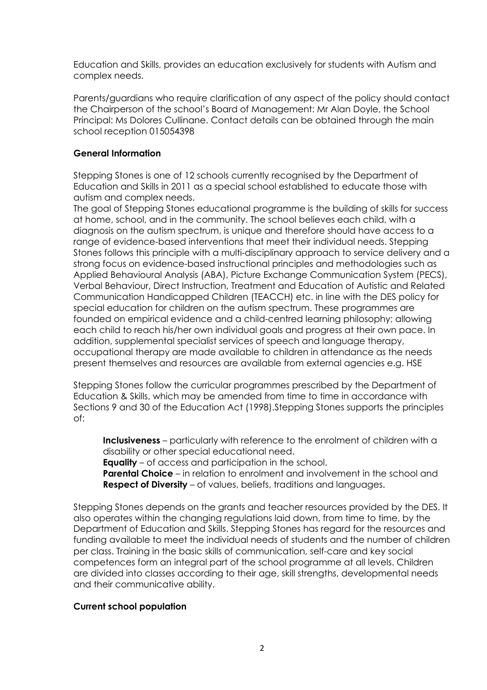Education and Skills, provides an education exclusively for students with Autism and complex needs.

Parents/guardians who require clarification of any aspect of the policy should contact the Chairperson of the school's Board of Management: Mr Alan Doyle, the School Principal: Ms Dolores Cullinane. Contact details can be obtained through the main school reception 015054398

# **General Information**

Stepping Stones is one of 12 schools currently recognised by the Department of Education and Skills in 2011 as a special school established to educate those with autism and complex needs.

The goal of Stepping Stones educational programme is the building of skills for success at home, school, and in the community. The school believes each child, with a diagnosis on the autism spectrum, is unique and therefore should have access to a range of evidence-based interventions that meet their individual needs. Stepping Stones follows this principle with a multi-disciplinary approach to service delivery and a strong focus on evidence-based instructional principles and methodologies such as Applied Behavioural Analysis (ABA), Picture Exchange Communication System (PECS), Verbal Behaviour, Direct Instruction, Treatment and Education of Autistic and Related Communication Handicapped Children (TEACCH) etc. in line with the DES policy for special education for children on the autism spectrum. These programmes are founded on empirical evidence and a child-centred learning philosophy; allowing each child to reach his/her own individual goals and progress at their own pace. In addition, supplemental specialist services of speech and language therapy, occupational therapy are made available to children in attendance as the needs present themselves and resources are available from external agencies e.g. HSE

Stepping Stones follow the curricular programmes prescribed by the Department of Education & Skills, which may be amended from time to time in accordance with Sections 9 and 30 of the Education Act (1998).Stepping Stones supports the principles of:

**Inclusiveness** – particularly with reference to the enrolment of children with a disability or other special educational need.

**Equality** – of access and participation in the school.

 **Parental Choice** – in relation to enrolment and involvement in the school and **Respect of Diversity** – of values, beliefs, traditions and languages.

Stepping Stones depends on the grants and teacher resources provided by the DES. It also operates within the changing regulations laid down, from time to time, by the Department of Education and Skills. Stepping Stones has regard for the resources and funding available to meet the individual needs of students and the number of children per class. Training in the basic skills of communication, self-care and key social competences form an integral part of the school programme at all levels. Children are divided into classes according to their age, skill strengths, developmental needs and their communicative ability.

# **Current school population**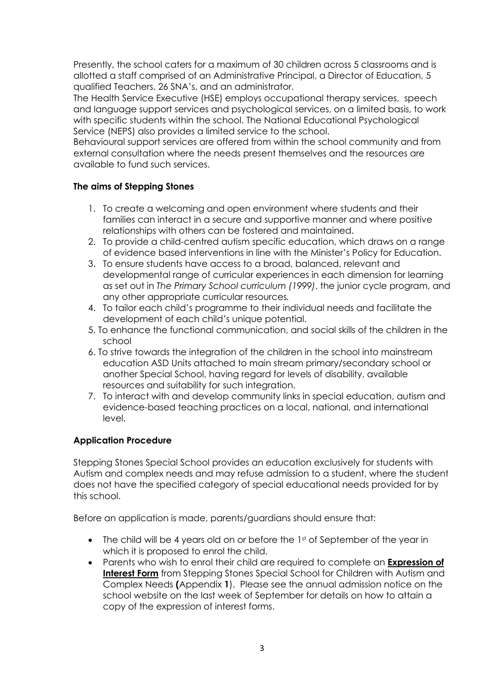Presently, the school caters for a maximum of 30 children across 5 classrooms and is allotted a staff comprised of an Administrative Principal, a Director of Education, 5 qualified Teachers, 26 SNA's, and an administrator.

The Health Service Executive (HSE) employs occupational therapy services, speech and language support services and psychological services, on a limited basis, to work with specific students within the school. The National Educational Psychological Service (NEPS) also provides a limited service to the school.

Behavioural support services are offered from within the school community and from external consultation where the needs present themselves and the resources are available to fund such services.

# **The aims of Stepping Stones**

- 1. To create a welcoming and open environment where students and their families can interact in a secure and supportive manner and where positive relationships with others can be fostered and maintained.
- 2. To provide a child-centred autism specific education, which draws on a range of evidence based interventions in line with the Minister's Policy for Education.
- 3. To ensure students have access to a broad, balanced, relevant and developmental range of curricular experiences in each dimension for learning as set out in *The Primary School curriculum (1999)*, the junior cycle program, and any other appropriate curricular resources*.*
- 4. To tailor each child's programme to their individual needs and facilitate the development of each child's unique potential.
- 5. To enhance the functional communication, and social skills of the children in the school
- 6. To strive towards the integration of the children in the school into mainstream education ASD Units attached to main stream primary/secondary school or another Special School, having regard for levels of disability, available resources and suitability for such integration.
- 7. To interact with and develop community links in special education, autism and evidence-based teaching practices on a local, national, and international level.

# **Application Procedure**

Stepping Stones Special School provides an education exclusively for students with Autism and complex needs and may refuse admission to a student, where the student does not have the specified category of special educational needs provided for by this school.

Before an application is made, parents/guardians should ensure that:

- The child will be 4 years old on or before the  $1<sup>st</sup>$  of September of the year in which it is proposed to enrol the child.
- Parents who wish to enrol their child are required to complete an **Expression of Interest Form** from Stepping Stones Special School for Children with Autism and Complex Needs **(**Appendix **1**). Please see the annual admission notice on the school website on the last week of September for details on how to attain a copy of the expression of interest forms.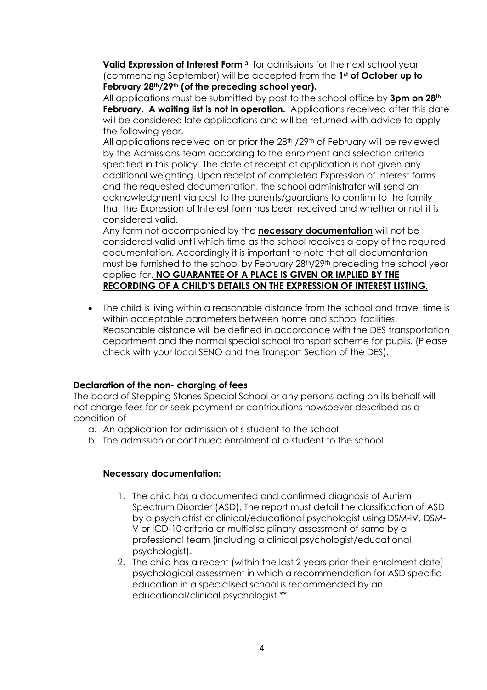**Valid Expression of Interest Form 3** for admissions for the next school year (commencing September) will be accepted from the **1st of October up to February 28th/29th (of the preceding school year).**

All applications must be submitted by post to the school office by **3pm on 28th February**. **A waiting list is not in operation.** Applications received after this date will be considered late applications and will be returned with advice to apply the following year.

All applications received on or prior the 28<sup>th</sup> /29<sup>th</sup> of February will be reviewed by the Admissions team according to the enrolment and selection criteria specified in this policy. The date of receipt of application is not given any additional weighting. Upon receipt of completed Expression of Interest forms and the requested documentation, the school administrator will send an acknowledgment via post to the parents/guardians to confirm to the family that the Expression of Interest form has been received and whether or not it is considered valid.

Any form not accompanied by the **necessary documentation** will not be considered valid until which time as the school receives a copy of the required documentation. Accordingly it is important to note that all documentation must be furnished to the school by February 28<sup>th</sup>/29<sup>th</sup> preceding the school year applied for. **NO GUARANTEE OF A PLACE IS GIVEN OR IMPLIED BY THE RECORDING OF A CHILD'S DETAILS ON THE EXPRESSION OF INTEREST LISTING.**

• The child is living within a reasonable distance from the school and travel time is within acceptable parameters between home and school facilities. Reasonable distance will be defined in accordance with the DES transportation department and the normal special school transport scheme for pupils. (Please check with your local SENO and the Transport Section of the DES).

# **Declaration of the non- charging of fees**

The board of Stepping Stones Special School or any persons acting on its behalf will not charge fees for or seek payment or contributions howsoever described as a condition of

- a. An application for admission of s student to the school
- b. The admission or continued enrolment of a student to the school

# **Necessary documentation:**

- 1. The child has a documented and confirmed diagnosis of Autism Spectrum Disorder (ASD). The report must detail the classification of ASD by a psychiatrist or clinical/educational psychologist using DSM-IV, DSM-V or ICD-10 criteria or multidisciplinary assessment of same by a professional team (including a clinical psychologist/educational psychologist).
- 2. The child has a recent (within the last 2 years prior their enrolment date) psychological assessment in which a recommendation for ASD specific education in a specialised school is recommended by an educational/clinical psychologist.\*\*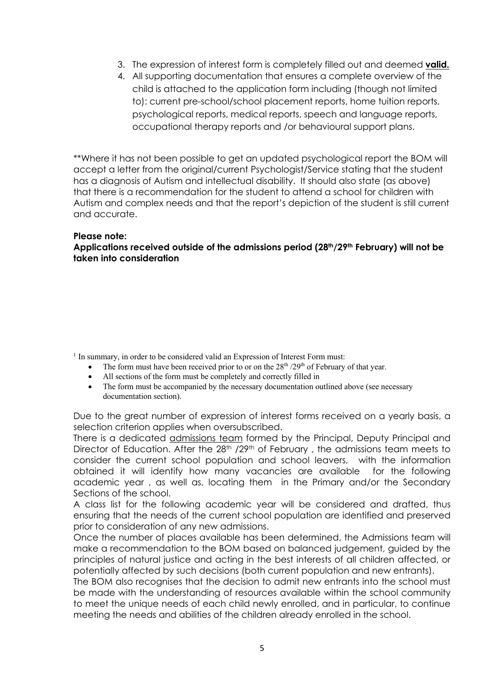- 3. The expression of interest form is completely filled out and deemed **valid.**
- 4. All supporting documentation that ensures a complete overview of the child is attached to the application form including (though not limited to): current pre-school/school placement reports, home tuition reports, psychological reports, medical reports, speech and language reports, occupational therapy reports and /or behavioural support plans.

\*\*Where it has not been possible to get an updated psychological report the BOM will accept a letter from the original/current Psychologist/Service stating that the student has a diagnosis of Autism and intellectual disability. It should also state (as above) that there is a recommendation for the student to attend a school for children with Autism and complex needs and that the report's depiction of the student is still current and accurate.

#### **Please note:**

**Applications received outside of the admissions period (28th/29th February) will not be taken into consideration**

<sup>1</sup> In summary, in order to be considered valid an Expression of Interest Form must:

- The form must have been received prior to or on the  $28<sup>th</sup> / 29<sup>th</sup>$  of February of that year.
- All sections of the form must be completely and correctly filled in
- The form must be accompanied by the necessary documentation outlined above (see necessary documentation section).

Due to the great number of expression of interest forms received on a yearly basis, a selection criterion applies when oversubscribed.

There is a dedicated *admissions team* formed by the Principal, Deputy Principal and Director of Education. After the 28<sup>th</sup> /29<sup>th</sup> of February, the admissions team meets to consider the current school population and school leavers, with the information obtained it will identify how many vacancies are available for the following academic year , as well as, locating them in the Primary and/or the Secondary Sections of the school.

A class list for the following academic year will be considered and drafted, thus ensuring that the needs of the current school population are identified and preserved prior to consideration of any new admissions.

Once the number of places available has been determined, the Admissions team will make a recommendation to the BOM based on balanced judgement, guided by the principles of natural justice and acting in the best interests of all children affected, or potentially affected by such decisions (both current population and new entrants).

The BOM also recognises that the decision to admit new entrants into the school must be made with the understanding of resources available within the school community to meet the unique needs of each child newly enrolled, and in particular, to continue meeting the needs and abilities of the children already enrolled in the school.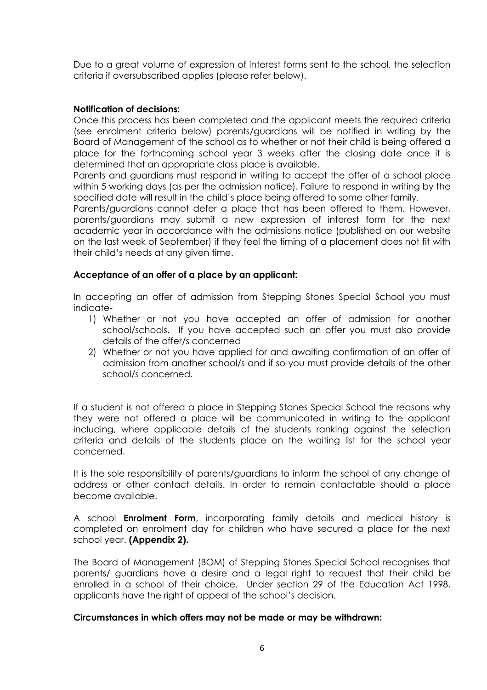Due to a great volume of expression of interest forms sent to the school, the selection criteria if oversubscribed applies (please refer below).

## **Notification of decisions:**

Once this process has been completed and the applicant meets the required criteria (see enrolment criteria below) parents/guardians will be notified in writing by the Board of Management of the school as to whether or not their child is being offered a place for the forthcoming school year 3 weeks after the closing date once it is determined that an appropriate class place is available.

Parents and guardians must respond in writing to accept the offer of a school place within 5 working days (as per the admission notice). Failure to respond in writing by the specified date will result in the child's place being offered to some other family.

Parents/guardians cannot defer a place that has been offered to them. However, parents/guardians may submit a new expression of interest form for the next academic year in accordance with the admissions notice (published on our website on the last week of September) if they feel the timing of a placement does not fit with their child's needs at any given time.

## **Acceptance of an offer of a place by an applicant:**

In accepting an offer of admission from Stepping Stones Special School you must indicate-

- 1) Whether or not you have accepted an offer of admission for another school/schools. If you have accepted such an offer you must also provide details of the offer/s concerned
- 2) Whether or not you have applied for and awaiting confirmation of an offer of admission from another school/s and if so you must provide details of the other school/s concerned.

If a student is not offered a place in Stepping Stones Special School the reasons why they were not offered a place will be communicated in writing to the applicant including, where applicable details of the students ranking against the selection criteria and details of the students place on the waiting list for the school year concerned.

It is the sole responsibility of parents/guardians to inform the school of any change of address or other contact details. In order to remain contactable should a place become available.

A school **Enrolment Form**, incorporating family details and medical history is completed on enrolment day for children who have secured a place for the next school year. **(Appendix 2).**

The Board of Management (BOM) of Stepping Stones Special School recognises that parents/ guardians have a desire and a legal right to request that their child be enrolled in a school of their choice. Under section 29 of the Education Act 1998, applicants have the right of appeal of the school's decision.

### **Circumstances in which offers may not be made or may be withdrawn:**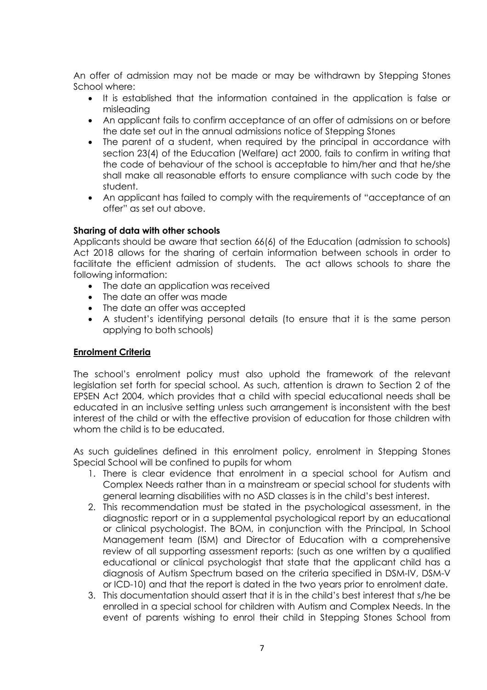An offer of admission may not be made or may be withdrawn by Stepping Stones School where:

- It is established that the information contained in the application is false or misleading
- An applicant fails to confirm acceptance of an offer of admissions on or before the date set out in the annual admissions notice of Stepping Stones
- The parent of a student, when required by the principal in accordance with section 23(4) of the Education (Welfare) act 2000, fails to confirm in writing that the code of behaviour of the school is acceptable to him/her and that he/she shall make all reasonable efforts to ensure compliance with such code by the student.
- An applicant has failed to comply with the requirements of "acceptance of an offer" as set out above.

## **Sharing of data with other schools**

Applicants should be aware that section 66(6) of the Education (admission to schools) Act 2018 allows for the sharing of certain information between schools in order to facilitate the efficient admission of students. The act allows schools to share the following information:

- The date an application was received
- The date an offer was made
- The date an offer was accepted
- A student's identifying personal details (to ensure that it is the same person applying to both schools)

### **Enrolment Criteria**

The school's enrolment policy must also uphold the framework of the relevant legislation set forth for special school. As such, attention is drawn to Section 2 of the EPSEN Act 2004, which provides that a child with special educational needs shall be educated in an inclusive setting unless such arrangement is inconsistent with the best interest of the child or with the effective provision of education for those children with whom the child is to be educated.

As such guidelines defined in this enrolment policy, enrolment in Stepping Stones Special School will be confined to pupils for whom

- 1. There is clear evidence that enrolment in a special school for Autism and Complex Needs rather than in a mainstream or special school for students with general learning disabilities with no ASD classes is in the child's best interest.
- 2. This recommendation must be stated in the psychological assessment, in the diagnostic report or in a supplemental psychological report by an educational or clinical psychologist. The BOM, in conjunction with the Principal, In School Management team (ISM) and Director of Education with a comprehensive review of all supporting assessment reports: (such as one written by a qualified educational or clinical psychologist that state that the applicant child has a diagnosis of Autism Spectrum based on the criteria specified in DSM-IV, DSM-V or ICD-10) and that the report is dated in the two years prior to enrolment date.
- 3. This documentation should assert that it is in the child's best interest that s/he be enrolled in a special school for children with Autism and Complex Needs. In the event of parents wishing to enrol their child in Stepping Stones School from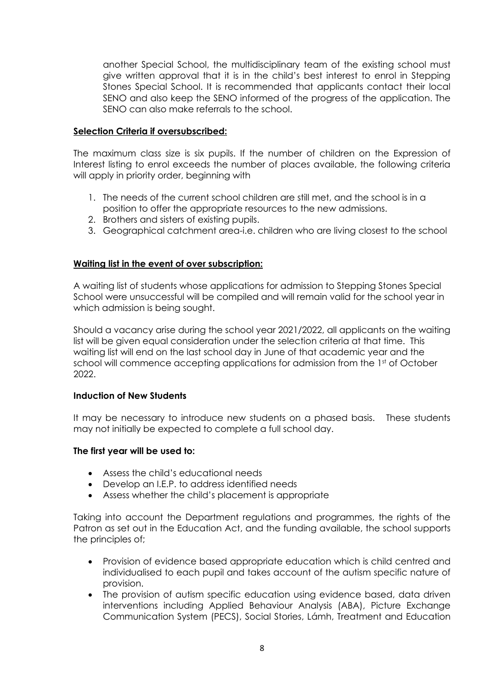another Special School, the multidisciplinary team of the existing school must give written approval that it is in the child's best interest to enrol in Stepping Stones Special School. It is recommended that applicants contact their local SENO and also keep the SENO informed of the progress of the application. The SENO can also make referrals to the school.

# **Selection Criteria if oversubscribed:**

The maximum class size is six pupils. If the number of children on the Expression of Interest listing to enrol exceeds the number of places available, the following criteria will apply in priority order, beginning with

- 1. The needs of the current school children are still met, and the school is in a position to offer the appropriate resources to the new admissions.
- 2. Brothers and sisters of existing pupils.
- 3. Geographical catchment area-i.e. children who are living closest to the school

# **Waiting list in the event of over subscription:**

A waiting list of students whose applications for admission to Stepping Stones Special School were unsuccessful will be compiled and will remain valid for the school year in which admission is being sought.

Should a vacancy arise during the school year 2021/2022, all applicants on the waiting list will be given equal consideration under the selection criteria at that time. This waiting list will end on the last school day in June of that academic year and the school will commence accepting applications for admission from the 1st of October 2022.

# **Induction of New Students**

It may be necessary to introduce new students on a phased basis. These students may not initially be expected to complete a full school day.

# **The first year will be used to:**

- Assess the child's educational needs
- Develop an I.E.P. to address identified needs
- Assess whether the child's placement is appropriate

Taking into account the Department regulations and programmes, the rights of the Patron as set out in the Education Act, and the funding available, the school supports the principles of;

- Provision of evidence based appropriate education which is child centred and individualised to each pupil and takes account of the autism specific nature of provision.
- The provision of autism specific education using evidence based, data driven interventions including Applied Behaviour Analysis (ABA), Picture Exchange Communication System (PECS), Social Stories, Lámh, Treatment and Education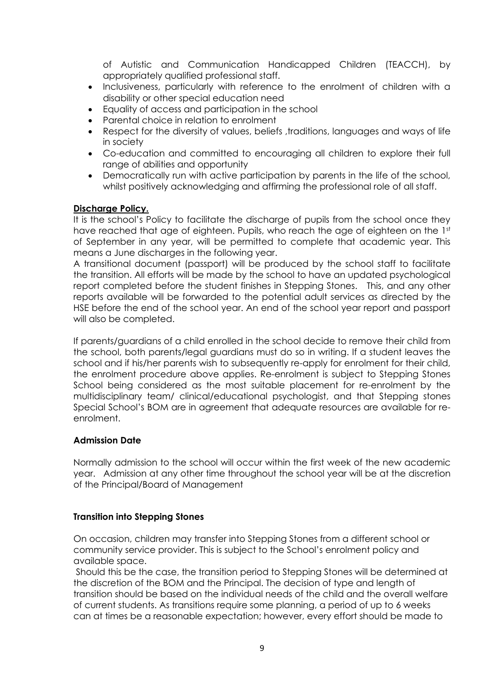of Autistic and Communication Handicapped Children (TEACCH), by appropriately qualified professional staff.

- Inclusiveness, particularly with reference to the enrolment of children with a disability or other special education need
- Equality of access and participation in the school
- Parental choice in relation to enrolment
- Respect for the diversity of values, beliefs, traditions, languages and ways of life in society
- Co-education and committed to encouraging all children to explore their full range of abilities and opportunity
- Democratically run with active participation by parents in the life of the school, whilst positively acknowledging and affirming the professional role of all staff.

# **Discharge Policy.**

It is the school's Policy to facilitate the discharge of pupils from the school once they have reached that age of eighteen. Pupils, who reach the age of eighteen on the 1st of September in any year, will be permitted to complete that academic year. This means a June discharges in the following year.

A transitional document (passport) will be produced by the school staff to facilitate the transition. All efforts will be made by the school to have an updated psychological report completed before the student finishes in Stepping Stones. This, and any other reports available will be forwarded to the potential adult services as directed by the HSE before the end of the school year. An end of the school year report and passport will also be completed.

If parents/guardians of a child enrolled in the school decide to remove their child from the school, both parents/legal guardians must do so in writing. If a student leaves the school and if his/her parents wish to subsequently re-apply for enrolment for their child, the enrolment procedure above applies. Re-enrolment is subject to Stepping Stones School being considered as the most suitable placement for re-enrolment by the multidisciplinary team/ clinical/educational psychologist, and that Stepping stones Special School's BOM are in agreement that adequate resources are available for reenrolment.

# **Admission Date**

Normally admission to the school will occur within the first week of the new academic year. Admission at any other time throughout the school year will be at the discretion of the Principal/Board of Management

# **Transition into Stepping Stones**

On occasion, children may transfer into Stepping Stones from a different school or community service provider. This is subject to the School's enrolment policy and available space.

Should this be the case, the transition period to Stepping Stones will be determined at the discretion of the BOM and the Principal. The decision of type and length of transition should be based on the individual needs of the child and the overall welfare of current students. As transitions require some planning, a period of up to 6 weeks can at times be a reasonable expectation; however, every effort should be made to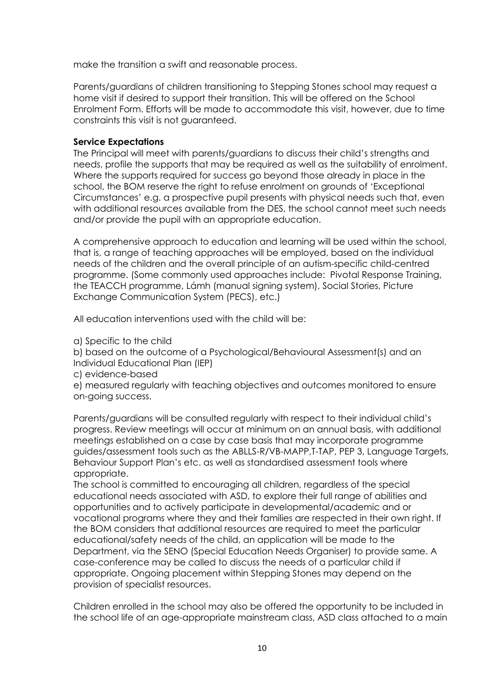make the transition a swift and reasonable process.

Parents/guardians of children transitioning to Stepping Stones school may request a home visit if desired to support their transition. This will be offered on the School Enrolment Form. Efforts will be made to accommodate this visit, however, due to time constraints this visit is not guaranteed.

# **Service Expectations**

The Principal will meet with parents/guardians to discuss their child's strengths and needs, profile the supports that may be required as well as the suitability of enrolment. Where the supports required for success go beyond those already in place in the school, the BOM reserve the right to refuse enrolment on grounds of 'Exceptional Circumstances' e.g. a prospective pupil presents with physical needs such that, even with additional resources available from the DES, the school cannot meet such needs and/or provide the pupil with an appropriate education.

A comprehensive approach to education and learning will be used within the school, that is, a range of teaching approaches will be employed, based on the individual needs of the children and the overall principle of an autism-specific child-centred programme. (Some commonly used approaches include: Pivotal Response Training, the TEACCH programme, Lámh (manual signing system), Social Stories, Picture Exchange Communication System (PECS), etc.)

All education interventions used with the child will be:

a) Specific to the child

b) based on the outcome of a Psychological/Behavioural Assessment(s) and an Individual Educational Plan (IEP)

c) evidence-based

e) measured regularly with teaching objectives and outcomes monitored to ensure on-going success.

Parents/guardians will be consulted regularly with respect to their individual child's progress. Review meetings will occur at minimum on an annual basis, with additional meetings established on a case by case basis that may incorporate programme guides/assessment tools such as the ABLLS-R/VB-MAPP,T-TAP, PEP 3, Language Targets, Behaviour Support Plan's etc. as well as standardised assessment tools where appropriate.

The school is committed to encouraging all children, regardless of the special educational needs associated with ASD, to explore their full range of abilities and opportunities and to actively participate in developmental/academic and or vocational programs where they and their families are respected in their own right. If the BOM considers that additional resources are required to meet the particular educational/safety needs of the child, an application will be made to the Department, via the SENO (Special Education Needs Organiser) to provide same. A case-conference may be called to discuss the needs of a particular child if appropriate. Ongoing placement within Stepping Stones may depend on the provision of specialist resources.

Children enrolled in the school may also be offered the opportunity to be included in the school life of an age-appropriate mainstream class, ASD class attached to a main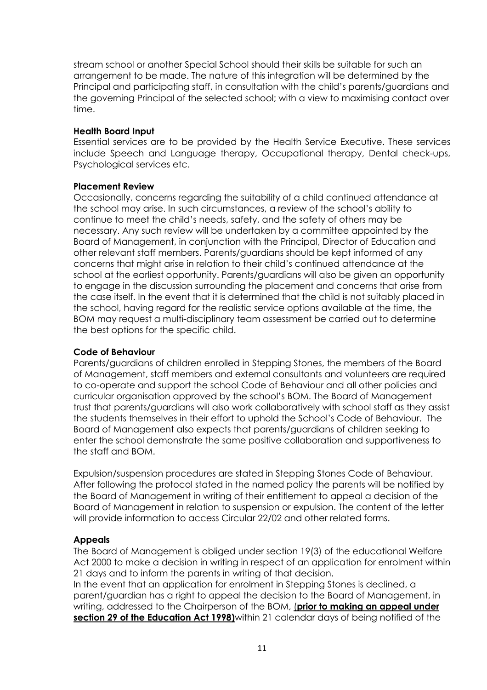stream school or another Special School should their skills be suitable for such an arrangement to be made. The nature of this integration will be determined by the Principal and participating staff, in consultation with the child's parents/guardians and the governing Principal of the selected school; with a view to maximising contact over time.

## **Health Board Input**

Essential services are to be provided by the Health Service Executive. These services include Speech and Language therapy, Occupational therapy, Dental check-ups, Psychological services etc.

## **Placement Review**

Occasionally, concerns regarding the suitability of a child continued attendance at the school may arise. In such circumstances, a review of the school's ability to continue to meet the child's needs, safety, and the safety of others may be necessary. Any such review will be undertaken by a committee appointed by the Board of Management, in conjunction with the Principal, Director of Education and other relevant staff members. Parents/guardians should be kept informed of any concerns that might arise in relation to their child's continued attendance at the school at the earliest opportunity. Parents/guardians will also be given an opportunity to engage in the discussion surrounding the placement and concerns that arise from the case itself. In the event that it is determined that the child is not suitably placed in the school, having regard for the realistic service options available at the time, the BOM may request a multi-disciplinary team assessment be carried out to determine the best options for the specific child.

# **Code of Behaviour**

Parents/guardians of children enrolled in Stepping Stones, the members of the Board of Management, staff members and external consultants and volunteers are required to co-operate and support the school Code of Behaviour and all other policies and curricular organisation approved by the school's BOM. The Board of Management trust that parents/guardians will also work collaboratively with school staff as they assist the students themselves in their effort to uphold the School's Code of Behaviour. The Board of Management also expects that parents/guardians of children seeking to enter the school demonstrate the same positive collaboration and supportiveness to the staff and BOM.

Expulsion/suspension procedures are stated in Stepping Stones Code of Behaviour. After following the protocol stated in the named policy the parents will be notified by the Board of Management in writing of their entitlement to appeal a decision of the Board of Management in relation to suspension or expulsion. The content of the letter will provide information to access Circular 22/02 and other related forms.

# **Appeals**

The Board of Management is obliged under section 19(3) of the educational Welfare Act 2000 to make a decision in writing in respect of an application for enrolment within 21 days and to inform the parents in writing of that decision.

In the event that an application for enrolment in Stepping Stones is declined, a parent/guardian has a right to appeal the decision to the Board of Management, in writing, addressed to the Chairperson of the BOM, (**prior to making an appeal under section 29 of the Education Act 1998)**within 21 calendar days of being notified of the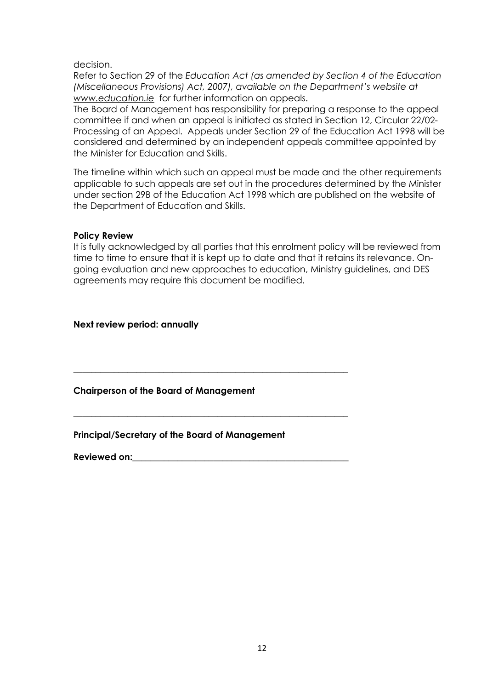decision.

Refer to Section 29 of the *Education Act (as amended by Section 4 of the Education (Miscellaneous Provisions) Act, 2007), available on the Department's website at www.education.ie* for further information on appeals.

The Board of Management has responsibility for preparing a response to the appeal committee if and when an appeal is initiated as stated in Section 12, Circular 22/02- Processing of an Appeal. Appeals under Section 29 of the Education Act 1998 will be considered and determined by an independent appeals committee appointed by the Minister for Education and Skills.

The timeline within which such an appeal must be made and the other requirements applicable to such appeals are set out in the procedures determined by the Minister under section 29B of the Education Act 1998 which are published on the website of the Department of Education and Skills.

### **Policy Review**

It is fully acknowledged by all parties that this enrolment policy will be reviewed from time to time to ensure that it is kept up to date and that it retains its relevance. Ongoing evaluation and new approaches to education, Ministry guidelines, and DES agreements may require this document be modified.

**Next review period: annually** 

**Chairperson of the Board of Management**

**Principal/Secretary of the Board of Management**

**\_\_\_\_\_\_\_\_\_\_\_\_\_\_\_\_\_\_\_\_\_\_\_\_\_\_\_\_\_\_\_\_\_\_\_\_\_\_\_\_\_\_\_\_\_\_\_\_\_\_\_\_\_\_\_\_\_\_\_\_\_**

**\_\_\_\_\_\_\_\_\_\_\_\_\_\_\_\_\_\_\_\_\_\_\_\_\_\_\_\_\_\_\_\_\_\_\_\_\_\_\_\_\_\_\_\_\_\_\_\_\_\_\_\_\_\_\_\_\_\_\_\_\_**

**Reviewed on:\_\_\_\_\_\_\_\_\_\_\_\_\_\_\_\_\_\_\_\_\_\_\_\_\_\_\_\_\_\_\_\_\_\_\_\_\_\_\_\_\_\_\_\_\_\_\_\_**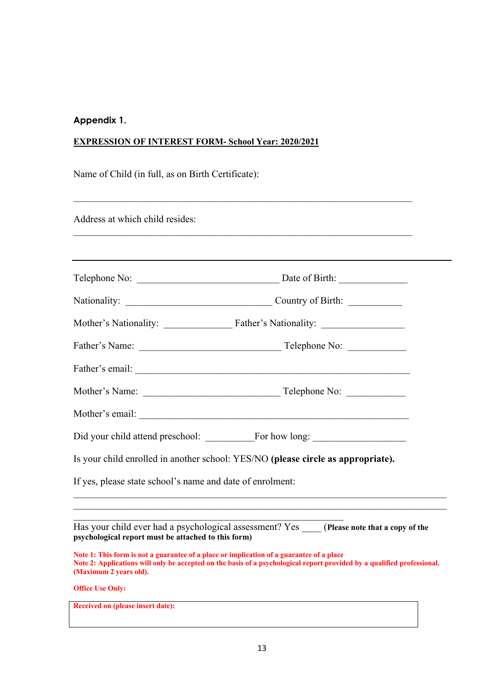#### **Appendix 1.**

#### **EXPRESSION OF INTEREST FORM- School Year: 2020/2021**

Name of Child (in full, as on Birth Certificate):

Address at which child resides:

|                                                           | Is your child enrolled in another school: YES/NO (please circle as appropriate). |  |
|-----------------------------------------------------------|----------------------------------------------------------------------------------|--|
| If yes, please state school's name and date of enrolment: |                                                                                  |  |
|                                                           |                                                                                  |  |

Has your child ever had a psychological assessment? Yes \_\_\_\_ (**Please note that a copy of the psychological report must be attached to this form)** 

 $\mathcal{L}_\text{max}$  and  $\mathcal{L}_\text{max}$  and  $\mathcal{L}_\text{max}$  and  $\mathcal{L}_\text{max}$  and  $\mathcal{L}_\text{max}$ 

**Note 1: This form is not a guarantee of a place or implication of a guarantee of a place Note 2: Applications will only be accepted on the basis of a psychological report provided by a qualified professional. (Maximum 2 years old).**

**Office Use Only:**

**Received on (please insert date):**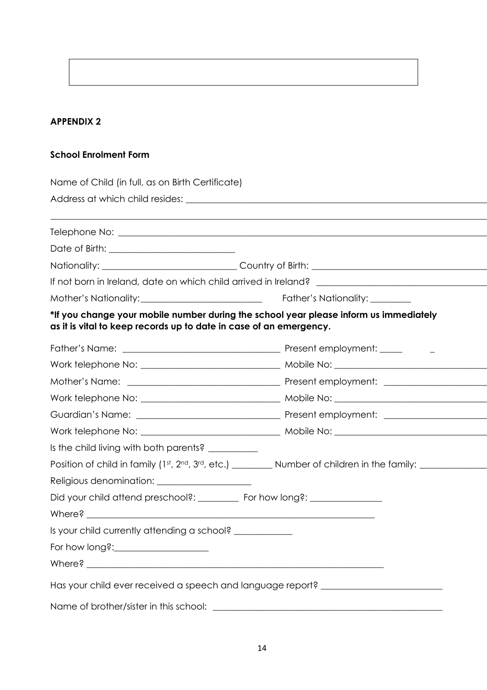# **APPENDIX 2**

## **School Enrolment Form**

| If not born in Ireland, date on which child arrived in Ireland? ___________________________________                                                         |  |
|-------------------------------------------------------------------------------------------------------------------------------------------------------------|--|
|                                                                                                                                                             |  |
| *If you change your mobile number during the school year please inform us immediately<br>as it is vital to keep records up to date in case of an emergency. |  |
|                                                                                                                                                             |  |
|                                                                                                                                                             |  |
|                                                                                                                                                             |  |
|                                                                                                                                                             |  |
|                                                                                                                                                             |  |
|                                                                                                                                                             |  |
| Is the child living with both parents? __________                                                                                                           |  |
| Position of child in family (1st, 2nd, 3rd, etc.) __________ Number of children in the family: _________                                                    |  |
| Religious denomination: ______________________                                                                                                              |  |
| Did your child attend preschool?: ___________ For how long?: ___________________                                                                            |  |
|                                                                                                                                                             |  |
| Is your child currently attending a school? ___________                                                                                                     |  |
|                                                                                                                                                             |  |
|                                                                                                                                                             |  |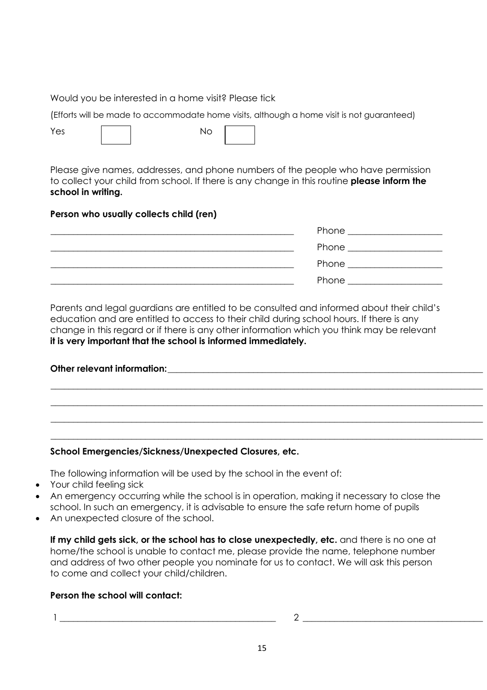# Would you be interested in a home visit? Please tick

(Efforts will be made to accommodate home visits, although a home visit is not guaranteed)

Yes | | No

Please give names, addresses, and phone numbers of the people who have permission to collect your child from school. If there is any change in this routine **please inform the school in writing.**

# **Person who usually collects child (ren)**

| Phone                  |
|------------------------|
| Phone ________________ |
| Phone                  |
| Phone                  |

Parents and legal guardians are entitled to be consulted and informed about their child's education and are entitled to access to their child during school hours. If there is any change in this regard or if there is any other information which you think may be relevant **it is very important that the school is informed immediately.**

| Other relevant information: |  |  |
|-----------------------------|--|--|
|                             |  |  |
|                             |  |  |
|                             |  |  |

\_\_\_\_\_\_\_\_\_\_\_\_\_\_\_\_\_\_\_\_\_\_\_\_\_\_\_\_\_\_\_\_\_\_\_\_\_\_\_\_\_\_\_\_\_\_\_\_\_\_\_\_\_\_\_\_\_\_\_\_\_\_\_\_\_\_\_\_\_\_\_\_\_\_\_\_\_\_\_\_\_\_\_\_\_\_\_\_\_\_\_\_\_\_\_\_

# **School Emergencies/Sickness/Unexpected Closures, etc.**

The following information will be used by the school in the event of:

- Your child feeling sick
- An emergency occurring while the school is in operation, making it necessary to close the school. In such an emergency, it is advisable to ensure the safe return home of pupils
- An unexpected closure of the school.

**If my child gets sick, or the school has to close unexpectedly, etc.** and there is no one at home/the school is unable to contact me, please provide the name, telephone number and address of two other people you nominate for us to contact. We will ask this person to come and collect your child/children.

# **Person the school will contact:**

1 \_\_\_\_\_\_\_\_\_\_\_\_\_\_\_\_\_\_\_\_\_\_\_\_\_\_\_\_\_\_\_\_\_\_\_\_\_\_\_\_\_\_\_\_\_\_\_\_ 2 \_\_\_\_\_\_\_\_\_\_\_\_\_\_\_\_\_\_\_\_\_\_\_\_\_\_\_\_\_\_\_\_\_\_\_\_\_\_\_\_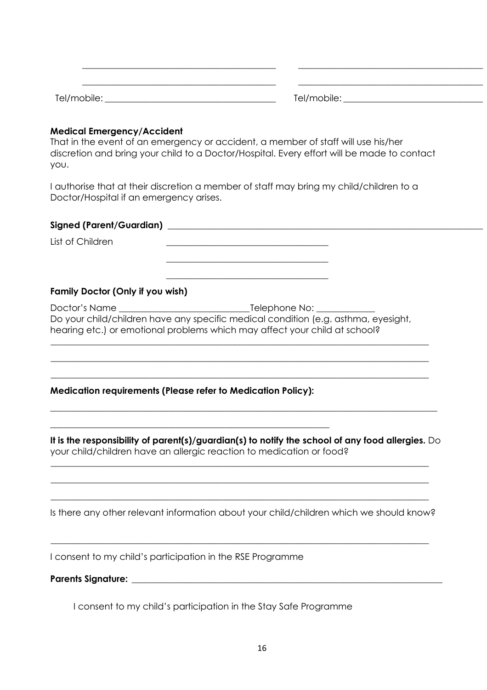| $T - 1$ | T <sub>1</sub><br>. ∩lle '<br>$ \cdot$ |
|---------|----------------------------------------|

 $\_$  , and the set of the set of the set of the set of the set of the set of the set of the set of the set of the set of the set of the set of the set of the set of the set of the set of the set of the set of the set of th

#### **Medical Emergency/Accident**

That in the event of an emergency or accident, a member of staff will use his/her discretion and bring your child to a Doctor/Hospital. Every effort will be made to contact you.

I authorise that at their discretion a member of staff may bring my child/children to a Doctor/Hospital if an emergency arises.

| Signed (Parent/Guardian)         |                                                                                                                                                                  |
|----------------------------------|------------------------------------------------------------------------------------------------------------------------------------------------------------------|
| List of Children                 |                                                                                                                                                                  |
| Family Doctor (Only if you wish) |                                                                                                                                                                  |
|                                  | Do your child/children have any specific medical condition (e.g. asthma, eyesight,<br>hearing etc.) or emotional problems which may affect your child at school? |

### **Medication requirements (Please refer to Medication Policy):**

\_\_\_\_\_\_\_\_\_\_\_\_\_\_\_\_\_\_\_\_\_\_\_\_\_\_\_\_\_\_\_\_\_\_\_\_\_\_\_\_\_\_\_\_\_\_\_\_\_\_\_\_\_\_\_\_\_\_\_\_\_\_

**It is the responsibility of parent(s)/guardian(s) to notify the school of any food allergies.** Do your child/children have an allergic reaction to medication or food?

 $\_$  , and the set of the set of the set of the set of the set of the set of the set of the set of the set of the set of the set of the set of the set of the set of the set of the set of the set of the set of the set of th

\_\_\_\_\_\_\_\_\_\_\_\_\_\_\_\_\_\_\_\_\_\_\_\_\_\_\_\_\_\_\_\_\_\_\_\_\_\_\_\_\_\_\_\_\_\_\_\_\_\_\_\_\_\_\_\_\_\_\_\_\_\_\_\_\_\_\_\_\_\_\_\_\_\_\_\_\_\_\_\_\_\_\_\_

\_\_\_\_\_\_\_\_\_\_\_\_\_\_\_\_\_\_\_\_\_\_\_\_\_\_\_\_\_\_\_\_\_\_\_\_\_\_\_\_\_\_\_\_\_\_\_\_\_\_\_\_\_\_\_\_\_\_\_\_\_\_\_\_\_\_\_\_\_\_\_\_\_\_\_\_\_\_\_\_\_\_\_\_

\_\_\_\_\_\_\_\_\_\_\_\_\_\_\_\_\_\_\_\_\_\_\_\_\_\_\_\_\_\_\_\_\_\_\_\_\_\_\_\_\_\_\_\_\_\_\_\_\_\_\_\_\_\_\_\_\_\_\_\_\_\_\_\_\_\_\_\_\_\_\_\_\_\_\_\_\_\_\_\_\_\_\_\_

 $\_$  , and the set of the set of the set of the set of the set of the set of the set of the set of the set of the set of the set of the set of the set of the set of the set of the set of the set of the set of the set of th

\_\_\_\_\_\_\_\_\_\_\_\_\_\_\_\_\_\_\_\_\_\_\_\_\_\_\_\_\_\_\_\_\_\_\_\_\_\_\_\_\_\_\_\_\_\_\_\_\_\_\_\_\_\_\_\_\_\_\_\_\_\_\_\_\_\_\_\_\_\_\_\_\_\_\_\_\_\_\_\_\_\_\_\_

\_\_\_\_\_\_\_\_\_\_\_\_\_\_\_\_\_\_\_\_\_\_\_\_\_\_\_\_\_\_\_\_\_\_\_\_\_\_\_\_\_\_\_\_\_\_\_\_\_\_\_\_\_\_\_\_\_\_\_\_\_\_\_\_\_\_\_\_\_\_\_\_\_\_\_\_\_\_\_\_\_\_\_\_

Is there any other relevant information about your child/children which we should know?

I consent to my child's participation in the RSE Programme

**Parents Signature: \_\_\_\_\_\_\_\_\_\_\_\_\_\_\_\_\_\_\_\_\_\_\_\_\_\_\_\_\_\_\_\_\_\_\_\_\_\_\_\_\_\_\_\_\_\_\_\_\_\_\_\_\_\_\_\_\_\_\_\_\_\_\_\_\_\_\_\_\_**

I consent to my child's participation in the Stay Safe Programme